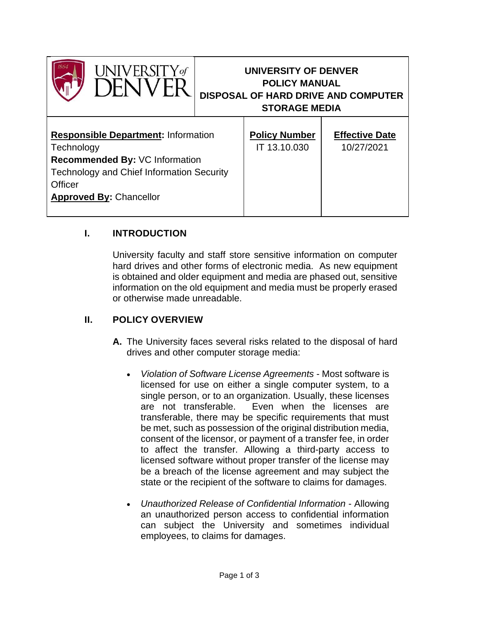



# **UNIVERSITY OF DENVER POLICY MANUAL DISPOSAL OF HARD DRIVE AND COMPUTER STORAGE MEDIA**

| <b>Responsible Department: Information</b>       | <b>Policy Number</b> | <b>Effective Date</b> |
|--------------------------------------------------|----------------------|-----------------------|
| Technology                                       | IT 13.10.030         | 10/27/2021            |
| Recommended By: VC Information                   |                      |                       |
| <b>Technology and Chief Information Security</b> |                      |                       |
| Officer                                          |                      |                       |
| <b>Approved By: Chancellor</b>                   |                      |                       |
|                                                  |                      |                       |

## **I. INTRODUCTION**

University faculty and staff store sensitive information on computer hard drives and other forms of electronic media. As new equipment is obtained and older equipment and media are phased out, sensitive information on the old equipment and media must be properly erased or otherwise made unreadable.

## **II. POLICY OVERVIEW**

- **A.** The University faces several risks related to the disposal of hard drives and other computer storage media:
	- *Violation of Software License Agreements* Most software is licensed for use on either a single computer system, to a single person, or to an organization. Usually, these licenses are not transferable. Even when the licenses are transferable, there may be specific requirements that must be met, such as possession of the original distribution media, consent of the licensor, or payment of a transfer fee, in order to affect the transfer. Allowing a third-party access to licensed software without proper transfer of the license may be a breach of the license agreement and may subject the state or the recipient of the software to claims for damages.
	- *Unauthorized Release of Confidential Information* Allowing an unauthorized person access to confidential information can subject the University and sometimes individual employees, to claims for damages.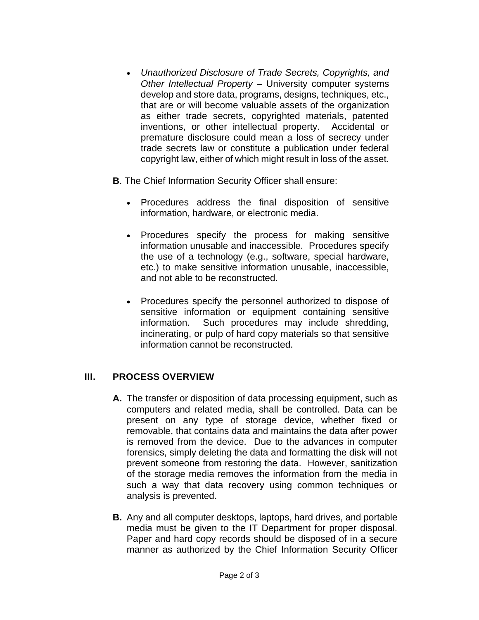- *Unauthorized Disclosure of Trade Secrets, Copyrights, and Other Intellectual Property* – University computer systems develop and store data, programs, designs, techniques, etc., that are or will become valuable assets of the organization as either trade secrets, copyrighted materials, patented inventions, or other intellectual property. Accidental or premature disclosure could mean a loss of secrecy under trade secrets law or constitute a publication under federal copyright law, either of which might result in loss of the asset.
- **B**. The Chief Information Security Officer shall ensure:
	- Procedures address the final disposition of sensitive information, hardware, or electronic media.
	- Procedures specify the process for making sensitive information unusable and inaccessible. Procedures specify the use of a technology (e.g., software, special hardware, etc.) to make sensitive information unusable, inaccessible, and not able to be reconstructed.
	- Procedures specify the personnel authorized to dispose of sensitive information or equipment containing sensitive information. Such procedures may include shredding, incinerating, or pulp of hard copy materials so that sensitive information cannot be reconstructed.

#### **III. PROCESS OVERVIEW**

- **A.** The transfer or disposition of data processing equipment, such as computers and related media, shall be controlled. Data can be present on any type of storage device, whether fixed or removable, that contains data and maintains the data after power is removed from the device. Due to the advances in computer forensics, simply deleting the data and formatting the disk will not prevent someone from restoring the data. However, sanitization of the storage media removes the information from the media in such a way that data recovery using common techniques or analysis is prevented.
- **B.** Any and all computer desktops, laptops, hard drives, and portable media must be given to the IT Department for proper disposal. Paper and hard copy records should be disposed of in a secure manner as authorized by the Chief Information Security Officer